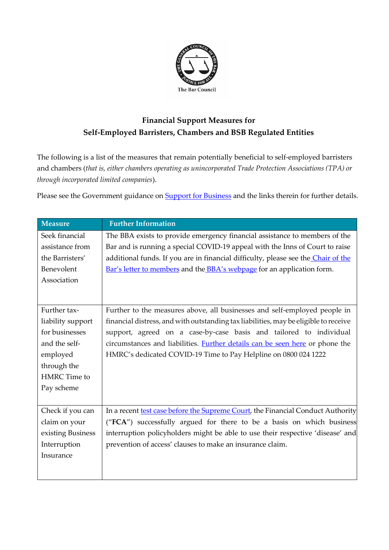

## **Financial Support Measures for Self-Employed Barristers, Chambers and BSB Regulated Entities**

The following is a list of the measures that remain potentially beneficial to self-employed barristers and chambers (*that is, either chambers operating as unincorporated Trade Protection Associations (TPA) or through incorporated limited companies*).

Please see the Government guidance on **Support for Business** and the links therein for further details.

| <b>Measure</b>    | <b>Further Information</b>                                                           |
|-------------------|--------------------------------------------------------------------------------------|
| Seek financial    | The BBA exists to provide emergency financial assistance to members of the           |
| assistance from   | Bar and is running a special COVID-19 appeal with the Inns of Court to raise         |
| the Barristers'   | additional funds. If you are in financial difficulty, please see the Chair of the    |
| Benevolent        | Bar's letter to members and the <b>BBA's webpage</b> for an application form.        |
| Association       |                                                                                      |
|                   |                                                                                      |
| Further tax-      | Further to the measures above, all businesses and self-employed people in            |
| liability support | financial distress, and with outstanding tax liabilities, may be eligible to receive |
| for businesses    | support, agreed on a case-by-case basis and tailored to individual                   |
| and the self-     | circumstances and liabilities. <b>Further details can be seen here</b> or phone the  |
| employed          | HMRC's dedicated COVID-19 Time to Pay Helpline on 0800 024 1222                      |
| through the       |                                                                                      |
| HMRC Time to      |                                                                                      |
| Pay scheme        |                                                                                      |
|                   |                                                                                      |
| Check if you can  | In a recent test case before the Supreme Court, the Financial Conduct Authority      |
| claim on your     | ("FCA") successfully argued for there to be a basis on which business                |
| existing Business | interruption policyholders might be able to use their respective 'disease' and       |
| Interruption      | prevention of access' clauses to make an insurance claim.                            |
| Insurance         |                                                                                      |
|                   |                                                                                      |
|                   |                                                                                      |